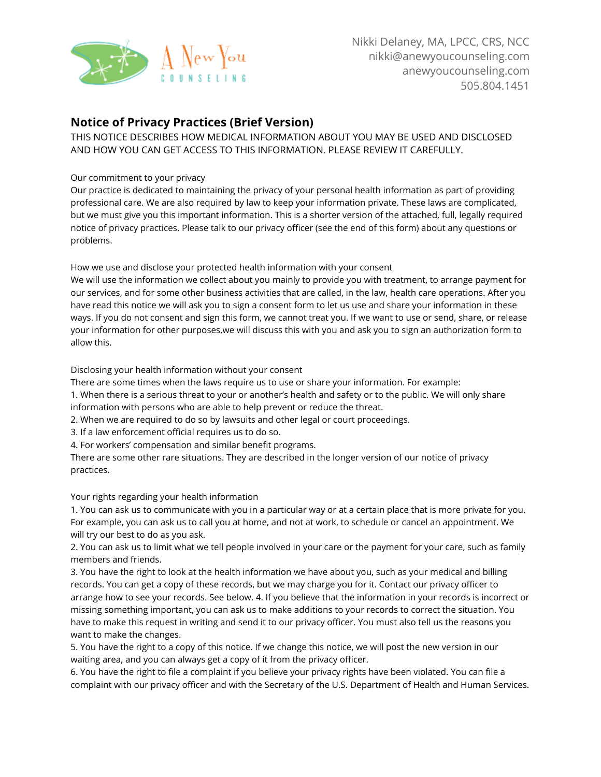

## **Notice of Privacy Practices (Brief Version)**

THIS NOTICE DESCRIBES HOW MEDICAL INFORMATION ABOUT YOU MAY BE USED AND DISCLOSED AND HOW YOU CAN GET ACCESS TO THIS INFORMATION. PLEASE REVIEW IT CAREFULLY.

## Our commitment to your privacy

Our practice is dedicated to maintaining the privacy of your personal health information as part of providing professional care. We are also required by law to keep your information private. These laws are complicated, but we must give you this important information. This is a shorter version of the attached, full, legally required notice of privacy practices. Please talk to our privacy officer (see the end of this form) about any questions or problems.

How we use and disclose your protected health information with your consent

We will use the information we collect about you mainly to provide you with treatment, to arrange payment for our services, and for some other business activities that are called, in the law, health care operations. After you have read this notice we will ask you to sign a consent form to let us use and share your information in these ways. If you do not consent and sign this form, we cannot treat you. If we want to use or send, share, or release your information for other purposes,we will discuss this with you and ask you to sign an authorization form to allow this.

Disclosing your health information without your consent

There are some times when the laws require us to use or share your information. For example:

1. When there is a serious threat to your or another's health and safety or to the public. We will only share information with persons who are able to help prevent or reduce the threat.

2. When we are required to do so by lawsuits and other legal or court proceedings.

3. If a law enforcement official requires us to do so.

4. For workers' compensation and similar benefit programs.

There are some other rare situations. They are described in the longer version of our notice of privacy practices.

Your rights regarding your health information

1. You can ask us to communicate with you in a particular way or at a certain place that is more private for you. For example, you can ask us to call you at home, and not at work, to schedule or cancel an appointment. We will try our best to do as you ask.

2. You can ask us to limit what we tell people involved in your care or the payment for your care, such as family members and friends.

3. You have the right to look at the health information we have about you, such as your medical and billing records. You can get a copy of these records, but we may charge you for it. Contact our privacy officer to arrange how to see your records. See below. 4. If you believe that the information in your records is incorrect or missing something important, you can ask us to make additions to your records to correct the situation. You have to make this request in writing and send it to our privacy officer. You must also tell us the reasons you want to make the changes.

5. You have the right to a copy of this notice. If we change this notice, we will post the new version in our waiting area, and you can always get a copy of it from the privacy officer.

6. You have the right to file a complaint if you believe your privacy rights have been violated. You can file a complaint with our privacy officer and with the Secretary of the U.S. Department of Health and Human Services.